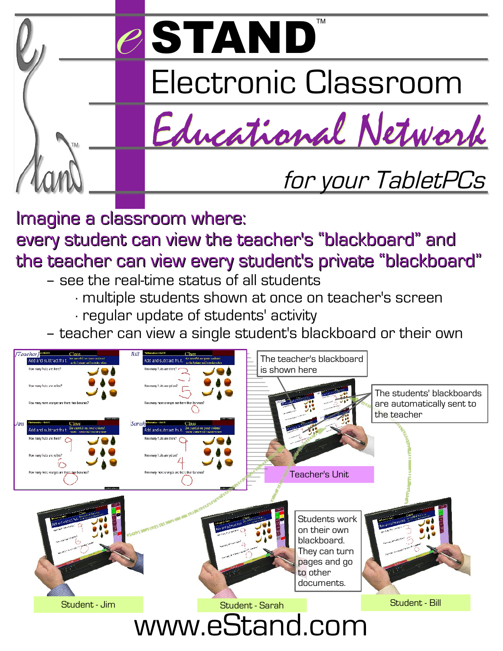

Imagine a classroom where: every student can view the teacher's "blackboard" and the teacher can view every student's private "blackboard"

- see the real-time status of all students
	- ∙ multiple students shown at once on teacher's screen
	- ∙ regular update of students' activity
- teacher can view a single student's blackboard or their own

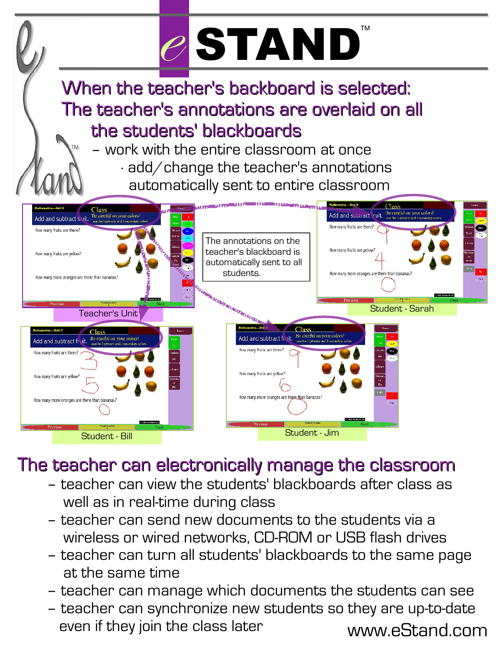## TM e STAND

When the teacher's backboard is selected: The teacher's annotations are overlaid on all the students' blackboards

– work with the entire classroom at once

∙ add/change the teacher's annotations automatically sent to entire classroom



### The teacher can electronically manage the classroom

- teacher can view the students' blackboards after class as well as in real-time during class
- teacher can send new documents to the students via a wireless or wired networks, CD-ROM or USB flash drives
- teacher can turn all students' blackboards to the same page at the same time
- teacher can manage which documents the students can see
- www.eStand.com – teacher can synchronize new students so they are up-to-date even if they join the class later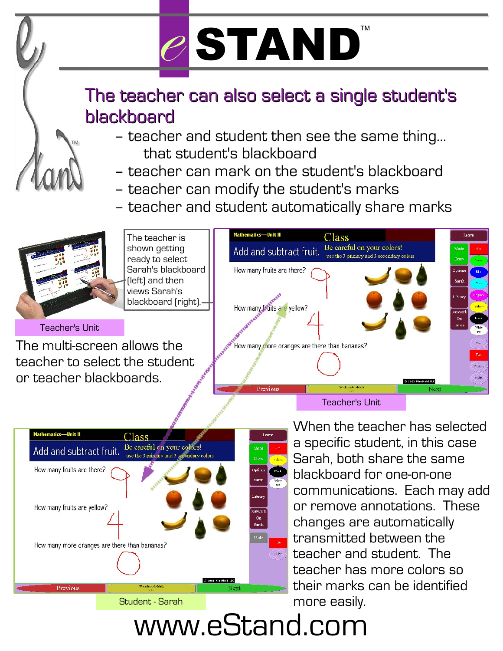

## The teacher can also select a single student's blackboard

- teacher and student then see the same thing... that student's blackboard
- teacher can mark on the student's blackboard
- teacher can modify the student's marks
- teacher and student automatically share marks



The teacher is shown getting ready to select Sarah's blackboard (left) and then views Sarah's blackboard (right).



#### Teacher's Unit

The multi-screen allows the teacher to select the student or teacher blackboards.





When the teacher has selected a specific student, in this case Sarah, both share the same blackboard for one-on-one communications. Each may add or remove annotations. These changes are automatically transmitted between the teacher and student. The teacher has more colors so their marks can be identified more easily.

www.eStand.com